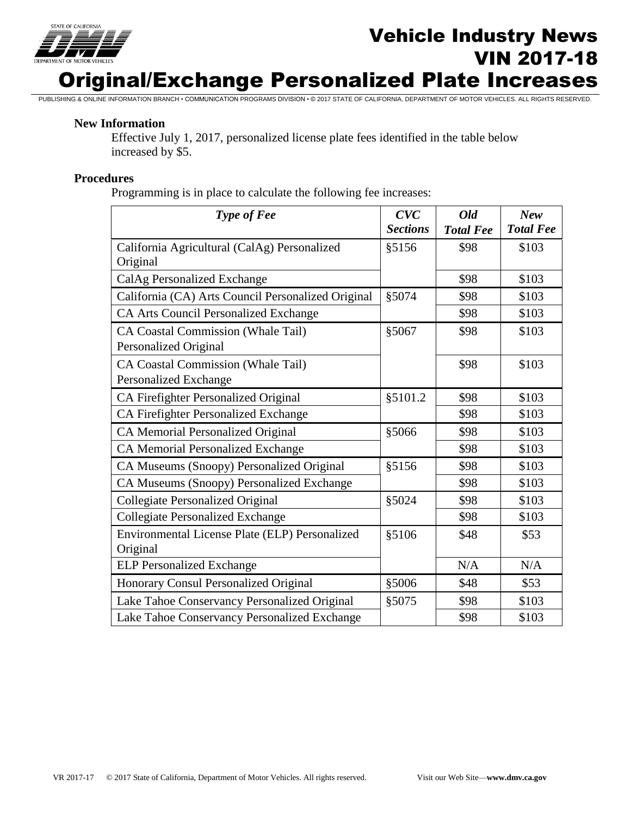

# **Vehicle Industry News**<br>
The *News* VIN 2017-18 Original/Exchange Personalized Plate Increases

PUBLISHING & ONLINE INFORMATION BRANCH • COMMUNICATION PROGRAMS DIVISION • © 2017 STATE OF CALIFORNIA, DEPARTMENT OF MOTOR VEHICLES. ALL RIGHTS RESERVED.

### **New Information**

Effective July 1, 2017, personalized license plate fees identified in the table below increased by \$5.

### **Procedures**

Programming is in place to calculate the following fee increases:

| <b>Type of Fee</b>                                          | CVC<br><b>Sections</b> | Old<br><b>Total Fee</b> | <b>New</b><br><b>Total Fee</b> |
|-------------------------------------------------------------|------------------------|-------------------------|--------------------------------|
| California Agricultural (CalAg) Personalized<br>Original    | §5156                  | \$98                    | \$103                          |
| CalAg Personalized Exchange                                 |                        | \$98                    | \$103                          |
| California (CA) Arts Council Personalized Original          | §5074                  | \$98                    | \$103                          |
| <b>CA Arts Council Personalized Exchange</b>                |                        | \$98                    | \$103                          |
| CA Coastal Commission (Whale Tail)<br>Personalized Original | §5067                  | \$98                    | \$103                          |
| CA Coastal Commission (Whale Tail)<br>Personalized Exchange |                        | \$98                    | \$103                          |
| CA Firefighter Personalized Original                        | §5101.2                | \$98                    | \$103                          |
| CA Firefighter Personalized Exchange                        |                        | \$98                    | \$103                          |
| CA Memorial Personalized Original                           | §5066                  | \$98                    | \$103                          |
| <b>CA Memorial Personalized Exchange</b>                    |                        | \$98                    | \$103                          |
| CA Museums (Snoopy) Personalized Original                   | §5156                  | \$98                    | \$103                          |
| CA Museums (Snoopy) Personalized Exchange                   |                        | \$98                    | \$103                          |
| Collegiate Personalized Original                            | §5024                  | \$98                    | \$103                          |
| <b>Collegiate Personalized Exchange</b>                     |                        | \$98                    | \$103                          |
| Environmental License Plate (ELP) Personalized<br>Original  | §5106                  | \$48                    | \$53                           |
| <b>ELP Personalized Exchange</b>                            |                        | N/A                     | N/A                            |
| Honorary Consul Personalized Original                       | §5006                  | \$48                    | \$53                           |
| Lake Tahoe Conservancy Personalized Original                | §5075                  | \$98                    | \$103                          |
| Lake Tahoe Conservancy Personalized Exchange                |                        | \$98                    | \$103                          |